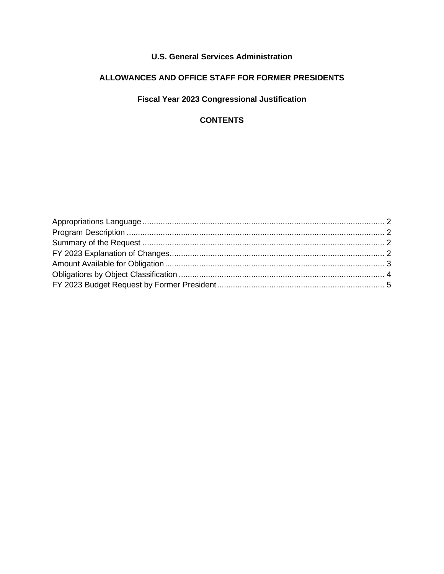## **U.S. General Services Administration**

# **ALLOWANCES AND OFFICE STAFF FOR FORMER PRESIDENTS**

## **Fiscal Year 2023 Congressional Justification**

## **CONTENTS**

<span id="page-0-0"></span>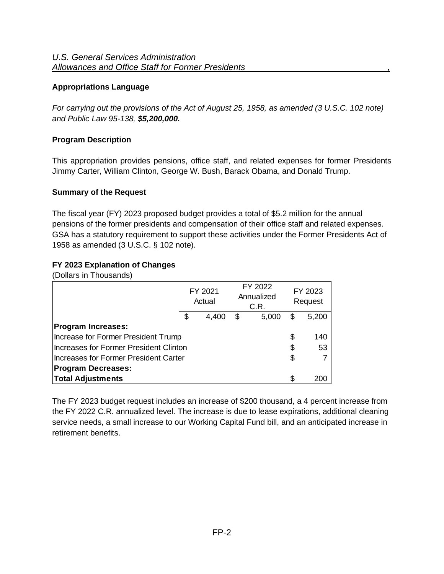### **Appropriations Language**

*For carrying out the provisions of the Act of August 25, 1958, as amended (3 U.S.C. 102 note) and Public Law 95-138, \$5,200,000.*

## <span id="page-1-0"></span>**Program Description**

This appropriation provides pensions, office staff, and related expenses for former Presidents Jimmy Carter, William Clinton, George W. Bush, Barack Obama, and Donald Trump.

#### <span id="page-1-1"></span>**Summary of the Request**

The fiscal year (FY) 2023 proposed budget provides a total of \$5.2 million for the annual pensions of the former presidents and compensation of their office staff and related expenses. GSA has a statutory requirement to support these activities under the Former Presidents Act of 1958 as amended (3 U.S.C. § 102 note).

### <span id="page-1-2"></span>**FY 2023 Explanation of Changes**

(Dollars in Thousands)

|                                               | FY 2021<br>Actual | FY 2022<br>Annualized<br>C.R. |       | FY 2023<br>Request |
|-----------------------------------------------|-------------------|-------------------------------|-------|--------------------|
|                                               | \$<br>4,400       | \$                            | 5,200 |                    |
| <b>Program Increases:</b>                     |                   |                               |       |                    |
| Increase for Former President Trump           |                   |                               | \$    | 140                |
| <b>Increases for Former President Clinton</b> |                   |                               | \$    | 53                 |
| Increases for Former President Carter         |                   |                               | \$    |                    |
| <b>Program Decreases:</b>                     |                   |                               |       |                    |
| <b>Total Adjustments</b>                      |                   |                               | S     | 200                |

The FY 2023 budget request includes an increase of \$200 thousand, a 4 percent increase from the FY 2022 C.R. annualized level. The increase is due to lease expirations, additional cleaning service needs, a small increase to our Working Capital Fund bill, and an anticipated increase in retirement benefits.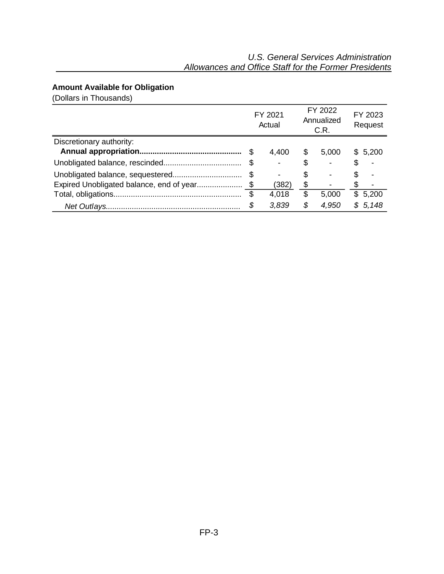# <span id="page-2-0"></span>**Amount Available for Obligation**

(Dollars in Thousands)

|                          | FY 2021<br>Actual        |    | FY 2022<br>Annualized<br>C.R. | FY 2023<br>Request |         |  |
|--------------------------|--------------------------|----|-------------------------------|--------------------|---------|--|
| Discretionary authority: |                          |    |                               |                    |         |  |
|                          | 4,400                    | \$ | 5,000                         |                    | \$5,200 |  |
|                          |                          | S  |                               | S                  |         |  |
|                          | $\overline{\phantom{0}}$ | S  |                               | S.                 |         |  |
|                          | (382)                    | \$ |                               |                    |         |  |
|                          | 4,018                    | \$ | 5,000                         |                    | \$5,200 |  |
|                          | \$<br>3,839              | \$ | 4,950                         |                    | \$5,148 |  |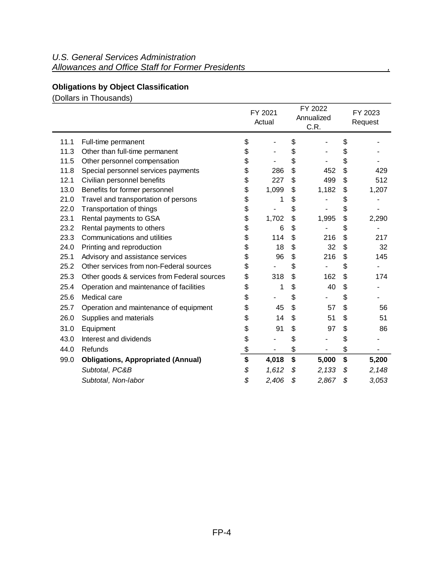# <span id="page-3-0"></span>**Obligations by Object Classification**

(Dollars in Thousands)

|      |                                             | FY 2021<br>Actual | FY 2022<br>Annualized<br>C.R. | FY 2023<br>Request |       |  |
|------|---------------------------------------------|-------------------|-------------------------------|--------------------|-------|--|
| 11.1 | Full-time permanent                         | \$                | \$                            | \$                 |       |  |
| 11.3 | Other than full-time permanent              | \$                | \$                            | \$                 |       |  |
| 11.5 | Other personnel compensation                | \$                | \$                            | \$                 |       |  |
| 11.8 | Special personnel services payments         | \$<br>286         | \$<br>452                     | \$                 | 429   |  |
| 12.1 | Civilian personnel benefits                 | \$<br>227         | \$<br>499                     | \$                 | 512   |  |
| 13.0 | Benefits for former personnel               | \$<br>1,099       | \$<br>1,182                   | \$                 | 1,207 |  |
| 21.0 | Travel and transportation of persons        | \$<br>1           | \$                            | \$                 |       |  |
| 22.0 | Transportation of things                    | \$                | \$                            | \$                 |       |  |
| 23.1 | Rental payments to GSA                      | \$<br>1,702       | \$<br>1,995                   | \$                 | 2,290 |  |
| 23.2 | Rental payments to others                   | \$<br>6           | \$                            | \$                 |       |  |
| 23.3 | Communications and utilities                | \$<br>114         | \$<br>216                     | \$                 | 217   |  |
| 24.0 | Printing and reproduction                   | \$<br>18          | \$<br>32                      | \$                 | 32    |  |
| 25.1 | Advisory and assistance services            | \$<br>96          | \$<br>216                     | \$                 | 145   |  |
| 25.2 | Other services from non-Federal sources     | \$                | \$                            | \$                 |       |  |
| 25.3 | Other goods & services from Federal sources | \$<br>318         | \$<br>162                     | \$                 | 174   |  |
| 25.4 | Operation and maintenance of facilities     | \$<br>1           | \$<br>40                      | \$                 |       |  |
| 25.6 | Medical care                                | \$                | \$                            | \$                 |       |  |
| 25.7 | Operation and maintenance of equipment      | \$<br>45          | \$<br>57                      | \$                 | 56    |  |
| 26.0 | Supplies and materials                      | \$<br>14          | \$<br>51                      | \$                 | 51    |  |
| 31.0 | Equipment                                   | \$<br>91          | \$<br>97                      | \$                 | 86    |  |
| 43.0 | Interest and dividends                      | \$                | \$                            | \$                 |       |  |
| 44.0 | Refunds                                     | \$                | \$                            | \$                 |       |  |
| 99.0 | <b>Obligations, Appropriated (Annual)</b>   | \$<br>4,018       | \$<br>5,000                   | \$                 | 5,200 |  |
|      | Subtotal, PC&B                              | \$<br>1,612       | \$<br>2,133                   | \$                 | 2,148 |  |
|      | Subtotal, Non-labor                         | \$<br>2,406       | \$<br>2,867                   | \$                 | 3,053 |  |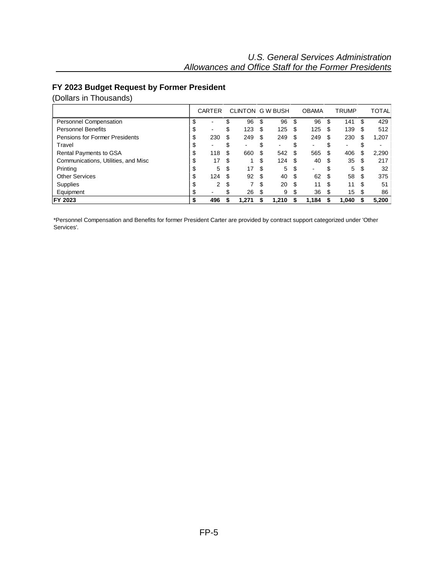## <span id="page-4-0"></span>**FY 2023 Budget Request by Former President**

(Dollars in Thousands)

|                                     |    | <b>CARTER</b> |   | CLINTON G W BUSH |     |       |     | <b>OBAMA</b> |     | <b>TRUMP</b> |     | <b>TOTAL</b>             |
|-------------------------------------|----|---------------|---|------------------|-----|-------|-----|--------------|-----|--------------|-----|--------------------------|
| Personnel Compensation              | ъĐ |               |   | 96               | S   | 96    | \$  | 96           | \$  | 141          | S   | 429                      |
| <b>Personnel Benefits</b>           | J  |               | J | 123              | S   | 125   | \$  | 125          | \$  | 139          | S   | 512                      |
| Pensions for Former Presidents      | æ  | 230           | S | 249              | S   | 249   | \$. | 249          | S   | 230          | \$  | 1,207                    |
| Travel                              | S  |               |   | -                |     | -     |     |              |     |              |     | $\overline{\phantom{0}}$ |
| Rental Payments to GSA              | S  | 118           | S | 660              | S   | 542   | \$. | 565          | S   | 406          | S   | 2,290                    |
| Communications, Utilities, and Misc | æ  | 17            | S |                  | S   | 124   | \$. | 40           | \$. | 35           | S   | 217                      |
| Printing                            | ۰D | 5             | S | 17               | \$. | 5     | \$. | -            |     | 5            | S   | 32                       |
| <b>Other Services</b>               |    | 124           | S | 92               | S   | 40    | \$. | 62           | S   | 58           | S   | 375                      |
| Supplies                            | æ  | 2             | S |                  | \$. | 20    | \$. | 11           | \$  | 11           | \$. | 51                       |
| Equipment                           |    |               |   | 26               | S   | 9     |     | 36           | \$. | 15           |     | 86                       |
| FY 2023                             |    | 496           |   | 1.271            |     | 1.210 |     | 1,184        |     | 1,040        |     | 5,200                    |

\*Personnel Compensation and Benefits for former President Carter are provided by contract support categorized under 'Other Services'.